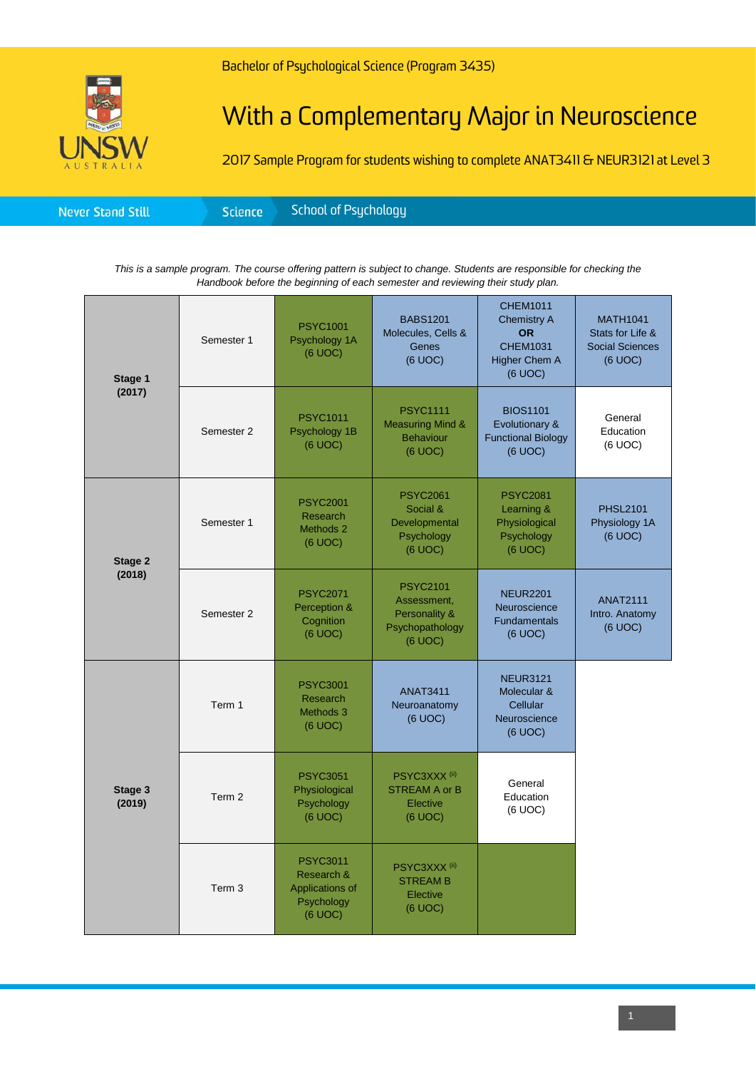## With a Complementary Major in Neuroscience

2017 Sample Program for students wishing to complete ANAT3411 & NEUR3121 at Level 3

|--|

*This is a sample program. The course offering pattern is subject to change. Students are responsible for checking the Handbook before the beginning of each semester and reviewing their study plan.*

| Stage 1<br>(2017) | Semester 1        | <b>PSYC1001</b><br>Psychology 1A<br>(6 UOC)                               | <b>BABS1201</b><br>Molecules, Cells &<br>Genes<br>(6 UOC)                     | <b>CHEM1011</b><br><b>Chemistry A</b><br><b>OR</b><br><b>CHEM1031</b><br>Higher Chem A<br>(6 UOC) | <b>MATH1041</b><br>Stats for Life &<br><b>Social Sciences</b><br>(6 UOC) |
|-------------------|-------------------|---------------------------------------------------------------------------|-------------------------------------------------------------------------------|---------------------------------------------------------------------------------------------------|--------------------------------------------------------------------------|
|                   | Semester 2        | <b>PSYC1011</b><br>Psychology 1B<br>(6 UOC)                               | <b>PSYC1111</b><br><b>Measuring Mind &amp;</b><br><b>Behaviour</b><br>(6 UOC) | <b>BIOS1101</b><br>Evolutionary &<br><b>Functional Biology</b><br>(6 UOC)                         | General<br>Education<br>(6 UOC)                                          |
| Stage 2<br>(2018) | Semester 1        | <b>PSYC2001</b><br>Research<br>Methods 2<br>(6 UOC)                       | <b>PSYC2061</b><br>Social &<br>Developmental<br>Psychology<br>$(6$ UOC $)$    | <b>PSYC2081</b><br>Learning &<br>Physiological<br>Psychology<br>(6 UOC)                           | <b>PHSL2101</b><br>Physiology 1A<br>(6 UOC)                              |
|                   | Semester 2        | <b>PSYC2071</b><br>Perception &<br>Cognition<br>(6 UOC)                   | <b>PSYC2101</b><br>Assessment,<br>Personality &<br>Psychopathology<br>(6 UOC) | <b>NEUR2201</b><br>Neuroscience<br><b>Fundamentals</b><br>(6 UOC)                                 | <b>ANAT2111</b><br>Intro. Anatomy<br>(6 UOC)                             |
| Stage 3<br>(2019) | Term 1            | <b>PSYC3001</b><br>Research<br>Methods 3<br>(6 UOC)                       | <b>ANAT3411</b><br>Neuroanatomy<br>(6 UOC)                                    | <b>NEUR3121</b><br>Molecular &<br>Cellular<br>Neuroscience<br>(6 UOC)                             |                                                                          |
|                   | Term 2            | <b>PSYC3051</b><br>Physiological<br>Psychology<br>(6 UOC)                 | PSYC3XXX <sup>(ii)</sup><br><b>STREAM A or B</b><br>Elective<br>(6 UOC)       | General<br>Education<br>(6 UOC)                                                                   |                                                                          |
|                   | Term <sub>3</sub> | <b>PSYC3011</b><br>Research &<br>Applications of<br>Psychology<br>(6 UOC) | PSYC3XXX <sup>(ii)</sup><br><b>STREAM B</b><br>Elective<br>(6 UOC)            |                                                                                                   |                                                                          |